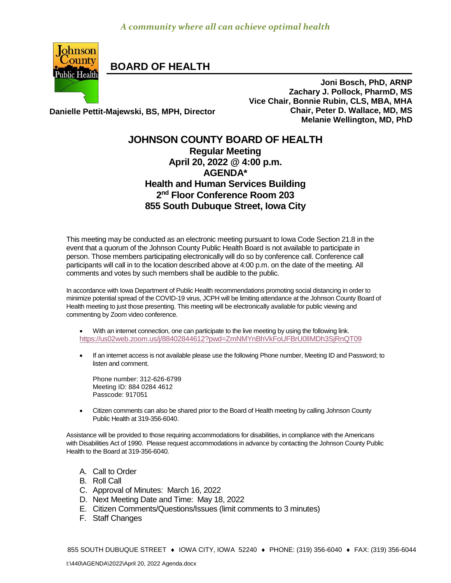

**BOARD OF HEALTH**

**Joni Bosch, PhD, ARNP Zachary J. Pollock, PharmD, MS Vice Chair, Bonnie Rubin, CLS, MBA, MHA Chair, Peter D. Wallace, MD, MS Melanie Wellington, MD, PhD**

**Danielle Pettit-Majewski, BS, MPH, Director**

## **JOHNSON COUNTY BOARD OF HEALTH Regular Meeting April 20, 2022 @ 4:00 p.m. AGENDA\* Health and Human Services Building 2 nd Floor Conference Room 203 855 South Dubuque Street, Iowa City**

This meeting may be conducted as an electronic meeting pursuant to Iowa Code Section 21.8 in the event that a quorum of the Johnson County Public Health Board is not available to participate in person. Those members participating electronically will do so by conference call. Conference call participants will call in to the location described above at 4:00 p.m. on the date of the meeting. All comments and votes by such members shall be audible to the public.

In accordance with Iowa Department of Public Health recommendations promoting social distancing in order to minimize potential spread of the COVID-19 virus, JCPH will be limiting attendance at the Johnson County Board of Health meeting to just those presenting. This meeting will be electronically available for public viewing and commenting by Zoom video conference.

- With an internet connection, one can participate to the live meeting by using the following link. <https://us02web.zoom.us/j/88402844612?pwd=ZmNMYnBhVkFoUFBrU0lIMDh3SjRnQT09>
- If an internet access is not available please use the following Phone number, Meeting ID and Password; to listen and comment.

Phone number: 312-626-6799 Meeting ID: 884 0284 4612 Passcode: 917051

 [Citizen](http://citizen/) comments can also be shared prior to the Board of Health meeting by calling Johnson County Public Health at 319-356-6040.

Assistance will be provided to those requiring accommodations for disabilities, in compliance with the Americans with Disabilities Act of 1990. Please request accommodations in advance by contacting the Johnson County Public Health to the Board at 319-356-6040.

- A. Call to Order
- B. Roll Call
- C. Approval of Minutes: March 16, 2022
- D. Next Meeting Date and Time: May 18, 2022
- E. Citizen Comments/Questions/Issues (limit comments to 3 minutes)
- F. Staff Changes